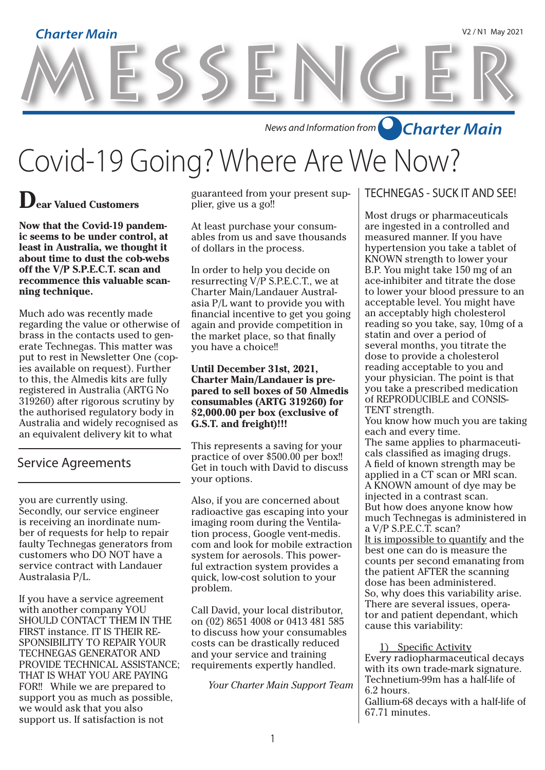# MESSENGER **Charter Main** V2 / N1 May 2021

*News and Information from Charter Main*

Covid-19 Going? Where Are We Now?

### **Dear Valued Customers**

**Now that the Covid-19 pandemic seems to be under control, at least in Australia, we thought it about time to dust the cob-webs off the V/P S.P.E.C.T. scan and recommence this valuable scanning technique.**

Much ado was recently made regarding the value or otherwise of brass in the contacts used to generate Technegas. This matter was put to rest in Newsletter One (copies available on request). Further to this, the Almedis kits are fully registered in Australia (ARTG No 319260) after rigorous scrutiny by the authorised regulatory body in Australia and widely recognised as an equivalent delivery kit to what

#### Service Agreements

you are currently using. Secondly, our service engineer is receiving an inordinate number of requests for help to repair faulty Technegas generators from customers who DO NOT have a service contract with Landauer Australasia P/L.

If you have a service agreement with another company YOU SHOULD CONTACT THEM IN THE FIRST instance. IT IS THEIR RE-SPONSIBILITY TO REPAIR YOUR TECHNEGAS GENERATOR AND PROVIDE TECHNICAL ASSISTANCE; THAT IS WHAT YOU ARE PAYING FOR!! While we are prepared to support you as much as possible, we would ask that you also support us. If satisfaction is not

guaranteed from your present supplier, give us a go!!

At least purchase your consumables from us and save thousands of dollars in the process.

In order to help you decide on resurrecting V/P S.P.E.C.T., we at Charter Main/Landauer Australasia P/L want to provide you with financial incentive to get you going again and provide competition in the market place, so that finally you have a choice!!

**Until December 31st, 2021, Charter Main/Landauer is prepared to sell boxes of 50 Almedis consumables (ARTG 319260) for \$2,000.00 per box (exclusive of G.S.T. and freight)!!!** 

This represents a saving for your practice of over \$500.00 per box!! Get in touch with David to discuss your options.

Also, if you are concerned about radioactive gas escaping into your imaging room during the Ventilation process, Google vent-medis. com and look for mobile extraction system for aerosols. This powerful extraction system provides a quick, low-cost solution to your problem.

Call David, your local distributor, on (02) 8651 4008 or 0413 481 585 to discuss how your consumables costs can be drastically reduced and your service and training requirements expertly handled.

*Your Charter Main Support Team*

#### TECHNEGAS - SUCK IT AND SEE!

Most drugs or pharmaceuticals are ingested in a controlled and measured manner. If you have hypertension you take a tablet of KNOWN strength to lower your B.P. You might take 150 mg of an ace-inhibiter and titrate the dose to lower your blood pressure to an acceptable level. You might have an acceptably high cholesterol reading so you take, say, 10mg of a statin and over a period of several months, you titrate the dose to provide a cholesterol reading acceptable to you and your physician. The point is that you take a prescribed medication of REPRODUCIBLE and CONSIS-TENT strength.

You know how much you are taking each and every time.

The same applies to pharmaceuticals classified as imaging drugs. A field of known strength may be applied in a CT scan or MRI scan. A KNOWN amount of dye may be injected in a contrast scan. But how does anyone know how much Technegas is administered in a V/P S.P.E.C.T. scan?

It is impossible to quantify and the best one can do is measure the counts per second emanating from the patient AFTER the scanning dose has been administered. So, why does this variability arise. There are several issues, operator and patient dependant, which cause this variability:

1) Specific Activity Every radiopharmaceutical decays with its own trade-mark signature. Technetium-99m has a half-life of 6.2 hours.

Gallium-68 decays with a half-life of 67.71 minutes.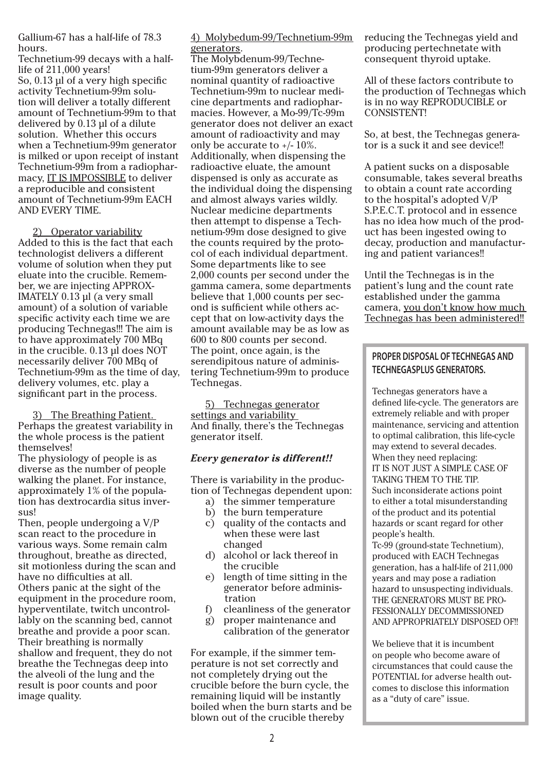Gallium-67 has a half-life of 78.3 hours.

Technetium-99 decays with a halflife of 211,000 years! So, 0.13 µl of a very high specific activity Technetium-99m solution will deliver a totally different amount of Technetium-99m to that delivered by 0.13 µl of a dilute solution. Whether this occurs when a Technetium-99m generator is milked or upon receipt of instant Technetium-99m from a radiopharmacy, IT IS IMPOSSIBLE to deliver a reproducible and consistent amount of Technetium-99m EACH AND EVERY TIME.

2) Operator variability Added to this is the fact that each technologist delivers a different volume of solution when they put eluate into the crucible. Remember, we are injecting APPROX-IMATELY 0.13 µl (a very small amount) of a solution of variable specific activity each time we are producing Technegas!!! The aim is to have approximately 700 MBq in the crucible. 0.13 µl does NOT necessarily deliver 700 MBq of Technetium-99m as the time of day, delivery volumes, etc. play a significant part in the process.

3) The Breathing Patient. Perhaps the greatest variability in the whole process is the patient themselves!

The physiology of people is as diverse as the number of people walking the planet. For instance, approximately 1% of the population has dextrocardia situs inversus!

Then, people undergoing a V/P scan react to the procedure in various ways. Some remain calm throughout, breathe as directed, sit motionless during the scan and have no difficulties at all. Others panic at the sight of the equipment in the procedure room, hyperventilate, twitch uncontrollably on the scanning bed, cannot breathe and provide a poor scan. Their breathing is normally shallow and frequent, they do not breathe the Technegas deep into the alveoli of the lung and the result is poor counts and poor image quality.

4) Molybedum-99/Technetium-99m generators.

The Molybdenum-99/Technetium-99m generators deliver a nominal quantity of radioactive Technetium-99m to nuclear medicine departments and radiopharmacies. However, a Mo-99/Tc-99m generator does not deliver an exact amount of radioactivity and may only be accurate to +/- 10%. Additionally, when dispensing the radioactive eluate, the amount dispensed is only as accurate as the individual doing the dispensing and almost always varies wildly. Nuclear medicine departments then attempt to dispense a Technetium-99m dose designed to give the counts required by the protocol of each individual department. Some departments like to see 2,000 counts per second under the gamma camera, some departments believe that 1,000 counts per second is sufficient while others accept that on low-activity days the amount available may be as low as 600 to 800 counts per second. The point, once again, is the serendipitous nature of administering Technetium-99m to produce Technegas.

5) Technegas generator settings and variability And finally, there's the Technegas generator itself.

#### *Every generator is different!!*

There is variability in the production of Technegas dependent upon:

- a) the simmer temperature
- b) the burn temperature
- c) quality of the contacts and when these were last changed
- d) alcohol or lack thereof in the crucible
- e) length of time sitting in the generator before adminis tration
- f) cleanliness of the generator
- g) proper maintenance and calibration of the generator
- For example, if the simmer temperature is not set correctly and not completely drying out the crucible before the burn cycle, the remaining liquid will be instantly boiled when the burn starts and be blown out of the crucible thereby

reducing the Technegas yield and producing pertechnetate with consequent thyroid uptake.

All of these factors contribute to the production of Technegas which is in no way REPRODUCIBLE or CONSISTENT!

So, at best, the Technegas generator is a suck it and see device!!

A patient sucks on a disposable consumable, takes several breaths to obtain a count rate according to the hospital's adopted V/P S.P.E.C.T. protocol and in essence has no idea how much of the product has been ingested owing to decay, production and manufacturing and patient variances!!

Until the Technegas is in the patient's lung and the count rate established under the gamma camera, you don't know how much Technegas has been administered!!

#### **PROPER DISPOSAL OF TECHNEGAS AND TECHNEGASPLUS GENERATORS.**

Technegas generators have a defined life-cycle. The generators are extremely reliable and with proper maintenance, servicing and attention to optimal calibration, this life-cycle may extend to several decades. When they need replacing: IT IS NOT JUST A SIMPLE CASE OF TAKING THEM TO THE TIP. Such inconsiderate actions point to either a total misunderstanding of the product and its potential hazards or scant regard for other people's health.

Tc-99 (ground-state Technetium), produced with EACH Technegas generation, has a half-life of 211,000 years and may pose a radiation hazard to unsuspecting individuals. THE GENERATORS MUST BE PRO-FESSIONALLY DECOMMISSIONED AND APPROPRIATELY DISPOSED OF!!

We believe that it is incumbent on people who become aware of circumstances that could cause the POTENTIAL for adverse health outcomes to disclose this information as a "duty of care" issue.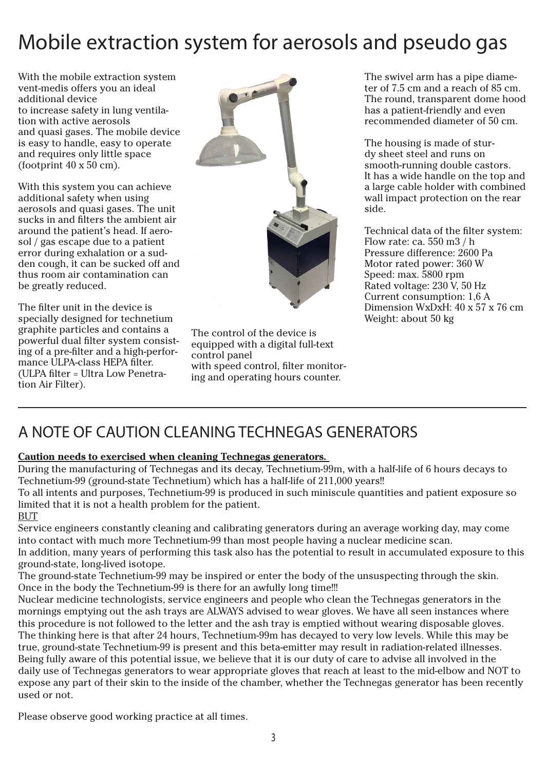## Mobile extraction system for aerosols and pseudo gas

With the mobile extraction system vent-medis offers you an ideal additional device to increase safety in lung ventilation with active aerosols and quasi gases. The mobile device is easy to handle, easy to operate and requires only little space (footprint  $40 \times 50$  cm).

With this system you can achieve additional safety when using aerosols and quasi gases. The unit sucks in and filters the ambient air around the patient's head. If aerosol / gas escape due to a patient error during exhalation or a sudden cough, it can be sucked off and thus room air contamination can be greatly reduced.

The filter unit in the device is specially designed for technetium graphite particles and contains a powerful dual filter system consisting of a pre-filter and a high-performance ULPA-class HEPA filter. (ULPA filter = Ultra Low Penetration Air Filter).



The control of the device is equipped with a digital full-text control panel with speed control, filter monitoring and operating hours counter.

The swivel arm has a pipe diameter of 7.5 cm and a reach of 85 cm. The round, transparent dome hood has a patient-friendly and even recommended diameter of 50 cm.

The housing is made of sturdy sheet steel and runs on smooth-running double castors. It has a wide handle on the top and a large cable holder with combined wall impact protection on the rear side.

Technical data of the filter system: Flow rate: ca. 550 m3 / h Pressure difference: 2600 Pa Motor rated power: 360 W Speed: max. 5800 rpm Rated voltage: 230 V, 50 Hz Current consumption: 1,6 A Dimension WxDxH: 40 x 57 x 76 cm Weight: about 50 kg

### A NOTE OF CAUTION CLEANING TECHNEGAS GENERATORS

#### **Caution needs to exercised when cleaning Technegas generators.**

During the manufacturing of Technegas and its decay, Technetium-99m, with a half-life of 6 hours decays to Technetium-99 (ground-state Technetium) which has a half-life of 211,000 years!!

To all intents and purposes, Technetium-99 is produced in such miniscule quantities and patient exposure so limited that it is not a health problem for the patient.

BUT

Service engineers constantly cleaning and calibrating generators during an average working day, may come into contact with much more Technetium-99 than most people having a nuclear medicine scan. In addition, many years of performing this task also has the potential to result in accumulated exposure to this

ground-state, long-lived isotope. The ground-state Technetium-99 may be inspired or enter the body of the unsuspecting through the skin. Once in the body the Technetium-99 is there for an awfully long time!!!

Nuclear medicine technologists, service engineers and people who clean the Technegas generators in the mornings emptying out the ash trays are ALWAYS advised to wear gloves. We have all seen instances where this procedure is not followed to the letter and the ash tray is emptied without wearing disposable gloves. The thinking here is that after 24 hours, Technetium-99m has decayed to very low levels. While this may be true, ground-state Technetium-99 is present and this beta-emitter may result in radiation-related illnesses. Being fully aware of this potential issue, we believe that it is our duty of care to advise all involved in the daily use of Technegas generators to wear appropriate gloves that reach at least to the mid-elbow and NOT to expose any part of their skin to the inside of the chamber, whether the Technegas generator has been recently used or not.

Please observe good working practice at all times.